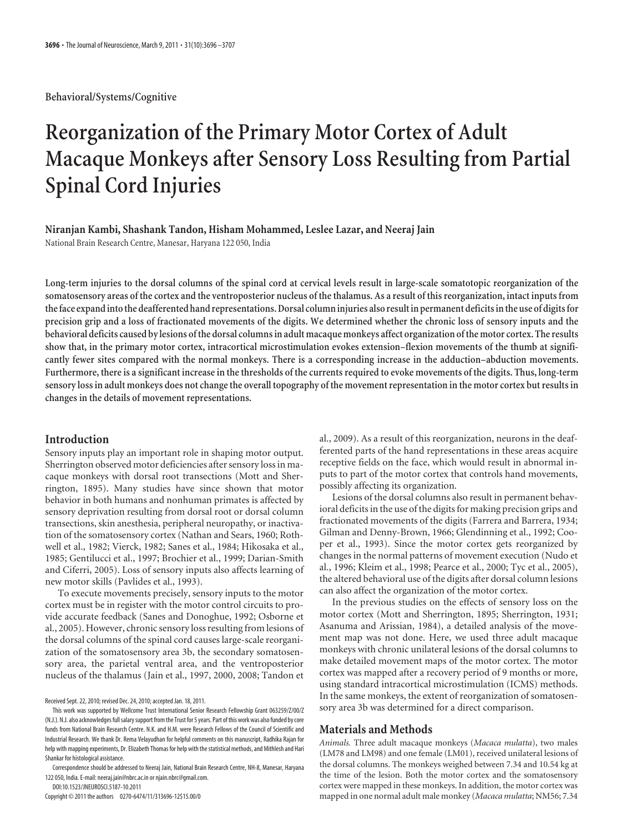**Behavioral/Systems/Cognitive**

# **Reorganization of the Primary Motor Cortex of Adult Macaque Monkeys after Sensory Loss Resulting from Partial Spinal Cord Injuries**

**Niranjan Kambi, Shashank Tandon, Hisham Mohammed, Leslee Lazar, and Neeraj Jain**

National Brain Research Centre, Manesar, Haryana 122 050, India

**Long-term injuries to the dorsal columns of the spinal cord at cervical levels result in large-scale somatotopic reorganization of the somatosensory areas of the cortex and the ventroposterior nucleus of the thalamus. As a result of this reorganization, intact inputs from the face expand into the deafferented hand representations. Dorsal column injuries also result in permanent deficits in the use of digits for precision grip and a loss of fractionated movements of the digits. We determined whether the chronic loss of sensory inputs and the behavioral deficits caused by lesions of the dorsal columns in adult macaque monkeys affect organization of the motor cortex. The results show that, in the primary motor cortex, intracortical microstimulation evokes extension–flexion movements of the thumb at significantly fewer sites compared with the normal monkeys. There is a corresponding increase in the adduction–abduction movements. Furthermore, there is a significant increase in the thresholds of the currents required to evoke movements of the digits. Thus, long-term sensory loss in adult monkeys does not change the overall topography of the movement representation in the motor cortex but results in changes in the details of movement representations.**

# **Introduction**

Sensory inputs play an important role in shaping motor output. Sherrington observed motor deficiencies after sensory loss in macaque monkeys with dorsal root transections (Mott and Sherrington, 1895). Many studies have since shown that motor behavior in both humans and nonhuman primates is affected by sensory deprivation resulting from dorsal root or dorsal column transections, skin anesthesia, peripheral neuropathy, or inactivation of the somatosensory cortex (Nathan and Sears, 1960; Rothwell et al., 1982; Vierck, 1982; Sanes et al., 1984; Hikosaka et al., 1985; Gentilucci et al., 1997; Brochier et al., 1999; Darian-Smith and Ciferri, 2005). Loss of sensory inputs also affects learning of new motor skills (Pavlides et al., 1993).

To execute movements precisely, sensory inputs to the motor cortex must be in register with the motor control circuits to provide accurate feedback (Sanes and Donoghue, 1992; Osborne et al., 2005). However, chronic sensory loss resulting from lesions of the dorsal columns of the spinal cord causes large-scale reorganization of the somatosensory area 3b, the secondary somatosensory area, the parietal ventral area, and the ventroposterior nucleus of the thalamus (Jain et al., 1997, 2000, 2008; Tandon et

Received Sept. 22, 2010; revised Dec. 24, 2010; accepted Jan. 18, 2011.

This work was supported by Wellcome Trust International Senior Research Fellowship Grant 063259/Z/00/Z (N.J.). N.J. also acknowledges full salary support from the Trust for 5 years. Part of this work was also funded by core funds from National Brain Research Centre. N.K. and H.M. were Research Fellows of the Council of Scientific and Industrial Research. We thank Dr. Rema Velayudhan for helpful comments on this manuscript, Radhika Rajan for help with mapping experiments, Dr. Elizabeth Thomas for help with the statistical methods, and Mithlesh and Hari Shankar for histological assistance.

Correspondence should be addressed to Neeraj Jain, National Brain Research Centre, NH-8, Manesar, Haryana 122 050, India. E-mail: neeraj.jain@nbrc.ac.in or njain.nbrc@gmail.com.

DOI:10.1523/JNEUROSCI.5187-10.2011 Copyright © 2011 the authors 0270-6474/11/313696-12\$15.00/0

al., 2009). As a result of this reorganization, neurons in the deafferented parts of the hand representations in these areas acquire receptive fields on the face, which would result in abnormal inputs to part of the motor cortex that controls hand movements, possibly affecting its organization.

Lesions of the dorsal columns also result in permanent behavioral deficits in the use of the digits for making precision grips and fractionated movements of the digits (Farrera and Barrera, 1934; Gilman and Denny-Brown, 1966; Glendinning et al., 1992; Cooper et al., 1993). Since the motor cortex gets reorganized by changes in the normal patterns of movement execution (Nudo et al., 1996; Kleim et al., 1998; Pearce et al., 2000; Tyc et al., 2005), the altered behavioral use of the digits after dorsal column lesions can also affect the organization of the motor cortex.

In the previous studies on the effects of sensory loss on the motor cortex (Mott and Sherrington, 1895; Sherrington, 1931; Asanuma and Arissian, 1984), a detailed analysis of the movement map was not done. Here, we used three adult macaque monkeys with chronic unilateral lesions of the dorsal columns to make detailed movement maps of the motor cortex. The motor cortex was mapped after a recovery period of 9 months or more, using standard intracortical microstimulation (ICMS) methods. In the same monkeys, the extent of reorganization of somatosensory area 3b was determined for a direct comparison.

# **Materials and Methods**

*Animals.* Three adult macaque monkeys (*Macaca mulatta*), two males (LM78 and LM98) and one female (LM01), received unilateral lesions of the dorsal columns. The monkeys weighed between 7.34 and 10.54 kg at the time of the lesion. Both the motor cortex and the somatosensory cortex were mapped in these monkeys. In addition, the motor cortex was mapped in one normal adult male monkey (*Macaca mulatta*; NM56; 7.34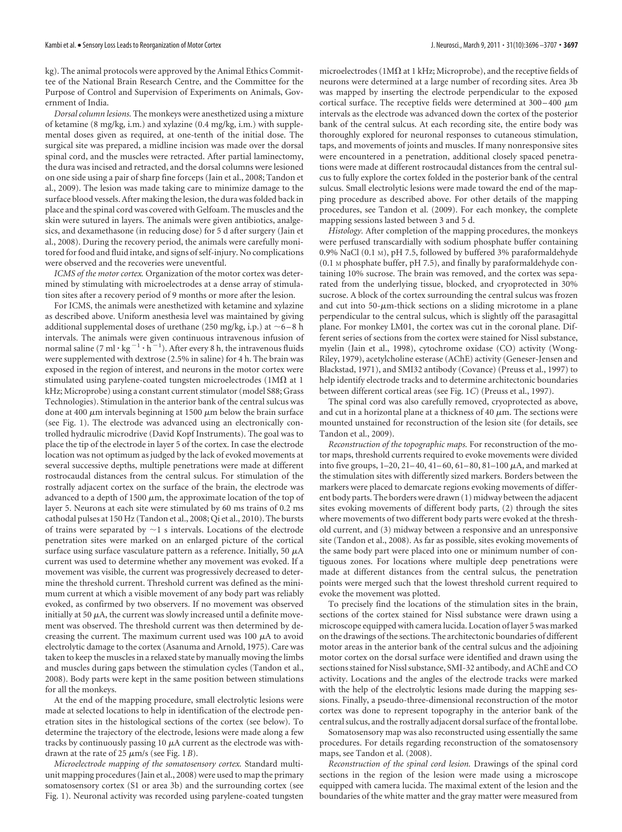kg). The animal protocols were approved by the Animal Ethics Committee of the National Brain Research Centre, and the Committee for the Purpose of Control and Supervision of Experiments on Animals, Government of India.

*Dorsal column lesions.* The monkeys were anesthetized using a mixture of ketamine (8 mg/kg, i.m.) and xylazine (0.4 mg/kg, i.m.) with supplemental doses given as required, at one-tenth of the initial dose. The surgical site was prepared, a midline incision was made over the dorsal spinal cord, and the muscles were retracted. After partial laminectomy, the dura was incised and retracted, and the dorsal columns were lesioned on one side using a pair of sharp fine forceps (Jain et al., 2008; Tandon et al., 2009). The lesion was made taking care to minimize damage to the surface blood vessels. After making the lesion, the dura was folded back in place and the spinal cord was covered with Gelfoam. The muscles and the skin were sutured in layers. The animals were given antibiotics, analgesics, and dexamethasone (in reducing dose) for 5 d after surgery (Jain et al., 2008). During the recovery period, the animals were carefully monitored for food and fluid intake, and signs of self-injury. No complications were observed and the recoveries were uneventful.

*ICMS of the motor cortex.* Organization of the motor cortex was determined by stimulating with microelectrodes at a dense array of stimulation sites after a recovery period of 9 months or more after the lesion.

For ICMS, the animals were anesthetized with ketamine and xylazine as described above. Uniform anesthesia level was maintained by giving additional supplemental doses of urethane (250 mg/kg, i.p.) at  $\sim$  6–8 h intervals. The animals were given continuous intravenous infusion of normal saline  $(7 \text{ ml} \cdot \text{kg}^{-1} \cdot \text{h}^{-1})$ . After every 8 h, the intravenous fluids were supplemented with dextrose (2.5% in saline) for 4 h. The brain was exposed in the region of interest, and neurons in the motor cortex were stimulated using parylene-coated tungsten microelectrodes (1M $\Omega$  at 1 kHz; Microprobe) using a constant current stimulator (model S88; Grass Technologies). Stimulation in the anterior bank of the central sulcus was done at 400  $\mu$ m intervals beginning at 1500  $\mu$ m below the brain surface (see Fig. 1). The electrode was advanced using an electronically controlled hydraulic microdrive (David Kopf Instruments). The goal was to place the tip of the electrode in layer 5 of the cortex. In case the electrode location was not optimum as judged by the lack of evoked movements at several successive depths, multiple penetrations were made at different rostrocaudal distances from the central sulcus. For stimulation of the rostrally adjacent cortex on the surface of the brain, the electrode was advanced to a depth of 1500  $\mu$ m, the approximate location of the top of layer 5. Neurons at each site were stimulated by 60 ms trains of 0.2 ms cathodal pulses at 150 Hz (Tandon et al., 2008; Qi et al., 2010). The bursts of trains were separated by  $\sim$ 1 s intervals. Locations of the electrode penetration sites were marked on an enlarged picture of the cortical surface using surface vasculature pattern as a reference. Initially, 50  $\mu$ A current was used to determine whether any movement was evoked. If a movement was visible, the current was progressively decreased to determine the threshold current. Threshold current was defined as the minimum current at which a visible movement of any body part was reliably evoked, as confirmed by two observers. If no movement was observed initially at 50  $\mu$ A, the current was slowly increased until a definite movement was observed. The threshold current was then determined by decreasing the current. The maximum current used was 100  $\mu$ A to avoid electrolytic damage to the cortex (Asanuma and Arnold, 1975). Care was taken to keep the muscles in a relaxed state by manually moving the limbs and muscles during gaps between the stimulation cycles (Tandon et al., 2008). Body parts were kept in the same position between stimulations for all the monkeys.

At the end of the mapping procedure, small electrolytic lesions were made at selected locations to help in identification of the electrode penetration sites in the histological sections of the cortex (see below). To determine the trajectory of the electrode, lesions were made along a few tracks by continuously passing  $10 \mu A$  current as the electrode was withdrawn at the rate of 25  $\mu$ m/s (see Fig. 1*B*).

*Microelectrode mapping of the somatosensory cortex.* Standard multiunit mapping procedures (Jain et al., 2008) were used to map the primary somatosensory cortex (S1 or area 3b) and the surrounding cortex (see Fig. 1). Neuronal activity was recorded using parylene-coated tungsten microelectrodes (1M $\Omega$  at 1 kHz; Microprobe), and the receptive fields of neurons were determined at a large number of recording sites. Area 3b was mapped by inserting the electrode perpendicular to the exposed cortical surface. The receptive fields were determined at  $300-400 \mu m$ intervals as the electrode was advanced down the cortex of the posterior bank of the central sulcus. At each recording site, the entire body was thoroughly explored for neuronal responses to cutaneous stimulation, taps, and movements of joints and muscles. If many nonresponsive sites were encountered in a penetration, additional closely spaced penetrations were made at different rostrocaudal distances from the central sulcus to fully explore the cortex folded in the posterior bank of the central sulcus. Small electrolytic lesions were made toward the end of the mapping procedure as described above. For other details of the mapping procedures, see Tandon et al. (2009). For each monkey, the complete mapping sessions lasted between 3 and 5 d.

*Histology.* After completion of the mapping procedures, the monkeys were perfused transcardially with sodium phosphate buffer containing 0.9% NaCl (0.1 M), pH 7.5, followed by buffered 3% paraformaldehyde (0.1 M phosphate buffer, pH 7.5), and finally by paraformaldehyde containing 10% sucrose. The brain was removed, and the cortex was separated from the underlying tissue, blocked, and cryoprotected in 30% sucrose. A block of the cortex surrounding the central sulcus was frozen and cut into  $50$ - $\mu$ m-thick sections on a sliding microtome in a plane perpendicular to the central sulcus, which is slightly off the parasagittal plane. For monkey LM01, the cortex was cut in the coronal plane. Different series of sections from the cortex were stained for Nissl substance, myelin (Jain et al., 1998), cytochrome oxidase (CO) activity (Wong-Riley, 1979), acetylcholine esterase (AChE) activity (Geneser-Jensen and Blackstad, 1971), and SMI32 antibody (Covance) (Preuss et al., 1997) to help identify electrode tracks and to determine architectonic boundaries between different cortical areas (see Fig. 1*C*) (Preuss et al., 1997).

The spinal cord was also carefully removed, cryoprotected as above, and cut in a horizontal plane at a thickness of 40  $\mu$ m. The sections were mounted unstained for reconstruction of the lesion site (for details, see Tandon et al., 2009).

*Reconstruction of the topographic maps.* For reconstruction of the motor maps, threshold currents required to evoke movements were divided into five groups,  $1-20$ ,  $21-40$ ,  $41-60$ ,  $61-80$ ,  $81-100$   $\mu$ A, and marked at the stimulation sites with differently sized markers. Borders between the markers were placed to demarcate regions evoking movements of different body parts. The borders were drawn (1) midway between the adjacent sites evoking movements of different body parts, (2) through the sites where movements of two different body parts were evoked at the threshold current, and (3) midway between a responsive and an unresponsive site (Tandon et al., 2008). As far as possible, sites evoking movements of the same body part were placed into one or minimum number of contiguous zones. For locations where multiple deep penetrations were made at different distances from the central sulcus, the penetration points were merged such that the lowest threshold current required to evoke the movement was plotted.

To precisely find the locations of the stimulation sites in the brain, sections of the cortex stained for Nissl substance were drawn using a microscope equipped with camera lucida. Location of layer 5 was marked on the drawings of the sections. The architectonic boundaries of different motor areas in the anterior bank of the central sulcus and the adjoining motor cortex on the dorsal surface were identified and drawn using the sections stained for Nissl substance, SMI-32 antibody, and AChE and CO activity. Locations and the angles of the electrode tracks were marked with the help of the electrolytic lesions made during the mapping sessions. Finally, a pseudo-three-dimensional reconstruction of the motor cortex was done to represent topography in the anterior bank of the central sulcus, and the rostrally adjacent dorsal surface of the frontal lobe.

Somatosensory map was also reconstructed using essentially the same procedures. For details regarding reconstruction of the somatosensory maps, see Tandon et al. (2008).

*Reconstruction of the spinal cord lesion.* Drawings of the spinal cord sections in the region of the lesion were made using a microscope equipped with camera lucida. The maximal extent of the lesion and the boundaries of the white matter and the gray matter were measured from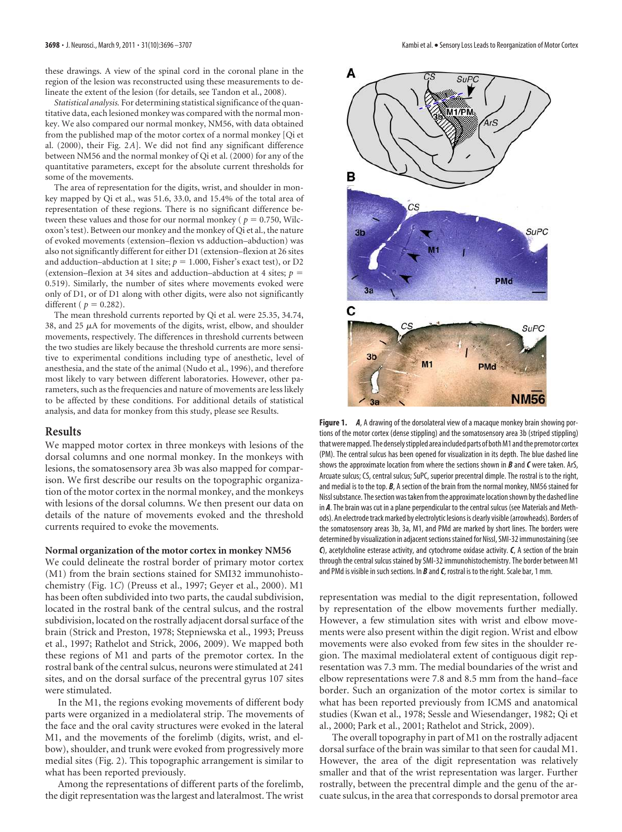these drawings. A view of the spinal cord in the coronal plane in the region of the lesion was reconstructed using these measurements to delineate the extent of the lesion (for details, see Tandon et al., 2008).

*Statistical analysis.* For determining statistical significance of the quantitative data, each lesioned monkey was compared with the normal monkey. We also compared our normal monkey, NM56, with data obtained from the published map of the motor cortex of a normal monkey [Qi et al. (2000), their Fig. 2*A*]. We did not find any significant difference between NM56 and the normal monkey of Qi et al. (2000) for any of the quantitative parameters, except for the absolute current thresholds for some of the movements.

The area of representation for the digits, wrist, and shoulder in monkey mapped by Qi et al., was 51.6, 33.0, and 15.4% of the total area of representation of these regions. There is no significant difference between these values and those for our normal monkey ( $p = 0.750$ , Wilcoxon's test). Between our monkey and the monkey of Qi et al., the nature of evoked movements (extension–flexion vs adduction–abduction) was also not significantly different for either D1 (extension–flexion at 26 sites and adduction–abduction at 1 site;  $p = 1.000$ , Fisher's exact test), or D2 (extension–flexion at 34 sites and adduction–abduction at 4 sites; *p* 0.519). Similarly, the number of sites where movements evoked were only of D1, or of D1 along with other digits, were also not significantly different ( $p = 0.282$ ).

The mean threshold currents reported by Qi et al. were 25.35, 34.74, 38, and 25  $\mu$ A for movements of the digits, wrist, elbow, and shoulder movements, respectively. The differences in threshold currents between the two studies are likely because the threshold currents are more sensitive to experimental conditions including type of anesthetic, level of anesthesia, and the state of the animal (Nudo et al., 1996), and therefore most likely to vary between different laboratories. However, other parameters, such as the frequencies and nature of movements are less likely to be affected by these conditions. For additional details of statistical analysis, and data for monkey from this study, please see Results.

#### **Results**

We mapped motor cortex in three monkeys with lesions of the dorsal columns and one normal monkey. In the monkeys with lesions, the somatosensory area 3b was also mapped for comparison. We first describe our results on the topographic organization of the motor cortex in the normal monkey, and the monkeys with lesions of the dorsal columns. We then present our data on details of the nature of movements evoked and the threshold currents required to evoke the movements.

#### **Normal organization of the motor cortex in monkey NM56**

We could delineate the rostral border of primary motor cortex (M1) from the brain sections stained for SMI32 immunohistochemistry (Fig. 1*C*) (Preuss et al., 1997; Geyer et al., 2000). M1 has been often subdivided into two parts, the caudal subdivision, located in the rostral bank of the central sulcus, and the rostral subdivision, located on the rostrally adjacent dorsal surface of the brain (Strick and Preston, 1978; Stepniewska et al., 1993; Preuss et al., 1997; Rathelot and Strick, 2006, 2009). We mapped both these regions of M1 and parts of the premotor cortex. In the rostral bank of the central sulcus, neurons were stimulated at 241 sites, and on the dorsal surface of the precentral gyrus 107 sites were stimulated.

In the M1, the regions evoking movements of different body parts were organized in a mediolateral strip. The movements of the face and the oral cavity structures were evoked in the lateral M1, and the movements of the forelimb (digits, wrist, and elbow), shoulder, and trunk were evoked from progressively more medial sites (Fig. 2). This topographic arrangement is similar to what has been reported previously.

Among the representations of different parts of the forelimb, the digit representation was the largest and lateralmost. The wrist



**Figure 1.** *A*, A drawing of the dorsolateral view of a macaque monkey brain showing portions of the motor cortex (dense stippling) and the somatosensory area 3b (striped stippling) that were mapped. The densely stippled area included parts of both M1 and the premotor cortex (PM). The central sulcus has been opened for visualization in its depth. The blue dashed line shows the approximate location from where the sections shown in *B* and *C* were taken. ArS, Arcuate sulcus; CS, central sulcus; SuPC, superior precentral dimple. The rostral is to the right, and medial is to the top. *B*, A section of the brain from the normal monkey, NM56 stained for Nissl substance. The section was taken from the approximate location shown by the dashed line in *A*. The brain was cut in a plane perpendicular to the central sulcus (see Materials and Methods). An electrode track marked by electrolytic lesions is clearly visible (arrowheads). Borders of the somatosensory areas 3b, 3a, M1, and PMd are marked by short lines. The borders were determined by visualization in adjacent sections stained for Nissl, SMI-32 immunostaining (see *C*), acetylcholine esterase activity, and cytochrome oxidase activity. *C*, A section of the brain through the central sulcus stained by SMI-32 immunohistochemistry. The border between M1 and PMd is visible in such sections. In *B* and*C*, rostral is to the right. Scale bar, 1 mm.

representation was medial to the digit representation, followed by representation of the elbow movements further medially. However, a few stimulation sites with wrist and elbow movements were also present within the digit region. Wrist and elbow movements were also evoked from few sites in the shoulder region. The maximal mediolateral extent of contiguous digit representation was 7.3 mm. The medial boundaries of the wrist and elbow representations were 7.8 and 8.5 mm from the hand–face border. Such an organization of the motor cortex is similar to what has been reported previously from ICMS and anatomical studies (Kwan et al., 1978; Sessle and Wiesendanger, 1982; Qi et al., 2000; Park et al., 2001; Rathelot and Strick, 2009).

The overall topography in part of M1 on the rostrally adjacent dorsal surface of the brain was similar to that seen for caudal M1. However, the area of the digit representation was relatively smaller and that of the wrist representation was larger. Further rostrally, between the precentral dimple and the genu of the arcuate sulcus, in the area that corresponds to dorsal premotor area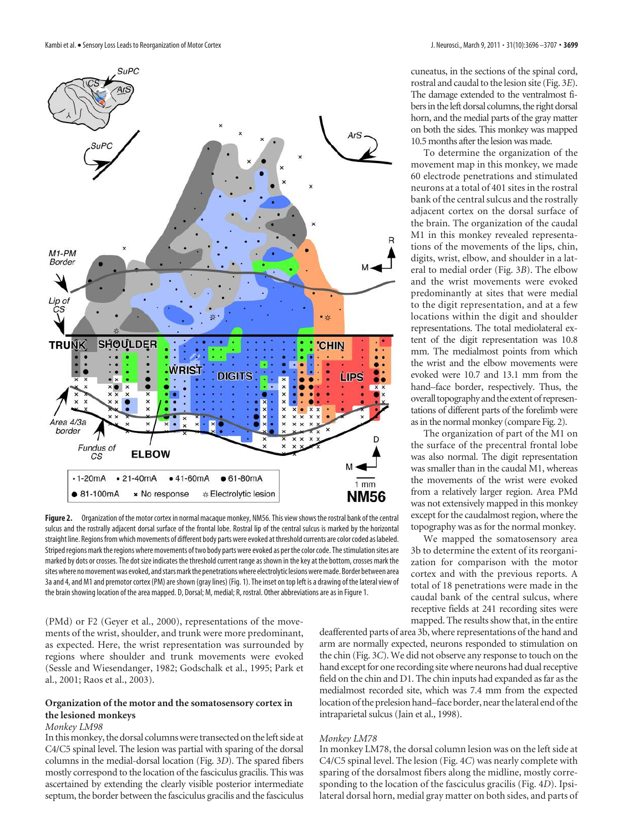

**Figure 2.** Organization of the motor cortex in normal macaque monkey, NM56. This view shows the rostral bank of the central sulcus and the rostrally adjacent dorsal surface of the frontal lobe. Rostral lip of the central sulcus is marked by the horizontal straight line. Regions from which movements of different body parts were evoked at threshold currents are color coded as labeled. Striped regions mark the regions where movements of two body parts were evoked as per the color code. The stimulation sites are marked by dots or crosses. The dot size indicates the threshold current range as shown in the key at the bottom, crosses mark the sites where no movement was evoked, and stars mark the penetrations where electrolytic lesions were made. Border between area 3a and 4, and M1 and premotor cortex (PM) are shown (gray lines) (Fig. 1). The inset on top left is a drawing of the lateral view of the brain showing location of the area mapped. D, Dorsal; M, medial; R, rostral. Other abbreviations are as in Figure 1.

(PMd) or F2 (Geyer et al., 2000), representations of the movements of the wrist, shoulder, and trunk were more predominant, as expected. Here, the wrist representation was surrounded by regions where shoulder and trunk movements were evoked (Sessle and Wiesendanger, 1982; Godschalk et al., 1995; Park et al., 2001; Raos et al., 2003).

# **Organization of the motor and the somatosensory cortex in the lesioned monkeys**

## *Monkey LM98*

In this monkey, the dorsal columns were transected on the left side at C4/C5 spinal level. The lesion was partial with sparing of the dorsal columns in the medial-dorsal location (Fig. 3*D*). The spared fibers mostly correspond to the location of the fasciculus gracilis. This was ascertained by extending the clearly visible posterior intermediate septum, the border between the fasciculus gracilis and the fasciculus cuneatus, in the sections of the spinal cord, rostral and caudal to the lesion site (Fig. 3*E*). The damage extended to the ventralmost fibers in the left dorsal columns, the right dorsal horn, and the medial parts of the gray matter on both the sides. This monkey was mapped 10.5 months after the lesion was made.

To determine the organization of the movement map in this monkey, we made 60 electrode penetrations and stimulated neurons at a total of 401 sites in the rostral bank of the central sulcus and the rostrally adjacent cortex on the dorsal surface of the brain. The organization of the caudal M1 in this monkey revealed representations of the movements of the lips, chin, digits, wrist, elbow, and shoulder in a lateral to medial order (Fig. 3*B*). The elbow and the wrist movements were evoked predominantly at sites that were medial to the digit representation, and at a few locations within the digit and shoulder representations. The total mediolateral extent of the digit representation was 10.8 mm. The medialmost points from which the wrist and the elbow movements were evoked were 10.7 and 13.1 mm from the hand–face border, respectively. Thus, the overall topography and the extent of representations of different parts of the forelimb were as in the normal monkey (compare Fig. 2).

The organization of part of the M1 on the surface of the precentral frontal lobe was also normal. The digit representation was smaller than in the caudal M1, whereas the movements of the wrist were evoked from a relatively larger region. Area PMd was not extensively mapped in this monkey except for the caudalmost region, where the topography was as for the normal monkey.

We mapped the somatosensory area 3b to determine the extent of its reorganization for comparison with the motor cortex and with the previous reports. A total of 18 penetrations were made in the caudal bank of the central sulcus, where receptive fields at 241 recording sites were mapped. The results show that, in the entire

deafferented parts of area 3b, where representations of the hand and arm are normally expected, neurons responded to stimulation on the chin (Fig. 3*C*). We did not observe any response to touch on the hand except for one recording site where neurons had dual receptive field on the chin and D1. The chin inputs had expanded as far as the medialmost recorded site, which was 7.4 mm from the expected location of the prelesion hand–face border, near the lateral end of the intraparietal sulcus (Jain et al., 1998).

## *Monkey LM78*

In monkey LM78, the dorsal column lesion was on the left side at C4/C5 spinal level. The lesion (Fig. 4*C*) was nearly complete with sparing of the dorsalmost fibers along the midline, mostly corresponding to the location of the fasciculus gracilis (Fig. 4*D*). Ipsilateral dorsal horn, medial gray matter on both sides, and parts of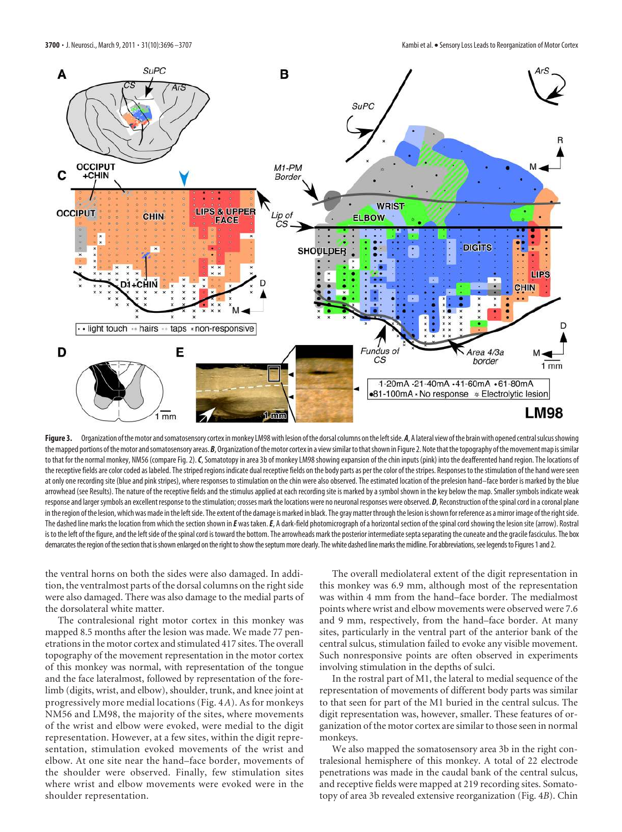

Figure 3. Organization of the motor and somatosensory cortex in monkey LM98 with lesion of the dorsal columns on the left side. *A*, A lateral view of the brain with opened central sulcus showing the mapped portions of the motor and somatosensory areas. B, Organization of the motor cortex in a view similar to that shown in Figure 2. Note that the topography of the movement map is similar to that for the normal monkey, NM56 (compare Fig. 2). C, Somatotopy in area 3b of monkey LM98 showing expansion of the chin inputs (pink) into the deafferented hand region. The locations of the receptive fields are color coded as labeled. The striped regions indicate dual receptive fields on the body parts as per the color of the stripes. Responses to the stimulation of the hand were seen at only one recording site (blue and pink stripes), where responses to stimulation on the chin were also observed. The estimated location of the prelesion hand–face border is marked by the blue arrowhead (see Results). The nature of the receptive fields and the stimulus applied at each recording site is marked by a symbol shown in the key below the map. Smaller symbols indicate weak response and larger symbols an excellent response to the stimulation; crosses mark the locations were no neuronal responses were observed. *D*, Reconstruction of the spinal cord in a coronal plane in the region of the lesion, which was made in the left side. The extent of the damage is marked in black. The gray matter through the lesion is shown for reference as a mirror image of the right side. The dashed line marks the location from which the section shown in *E* was taken. *E*, A dark-field photomicrograph of a horizontal section of the spinal cord showing the lesion site (arrow). Rostral is to the left of the figure, and the left side of the spinal cord is toward the bottom. The arrowheads mark the posterior intermediate septa separating the cuneate and the gracile fasciculus. The box demarcates the region of the section that is shown enlarged on the right to show the septum more clearly. The white dashed line marks the midline. For abbreviations, see legends to Figures 1 and 2.

the ventral horns on both the sides were also damaged. In addition, the ventralmost parts of the dorsal columns on the right side were also damaged. There was also damage to the medial parts of the dorsolateral white matter.

The contralesional right motor cortex in this monkey was mapped 8.5 months after the lesion was made. We made 77 penetrations in the motor cortex and stimulated 417 sites. The overall topography of the movement representation in the motor cortex of this monkey was normal, with representation of the tongue and the face lateralmost, followed by representation of the forelimb (digits, wrist, and elbow), shoulder, trunk, and knee joint at progressively more medial locations (Fig. 4*A*). As for monkeys NM56 and LM98, the majority of the sites, where movements of the wrist and elbow were evoked, were medial to the digit representation. However, at a few sites, within the digit representation, stimulation evoked movements of the wrist and elbow. At one site near the hand–face border, movements of the shoulder were observed. Finally, few stimulation sites where wrist and elbow movements were evoked were in the shoulder representation.

The overall mediolateral extent of the digit representation in this monkey was 6.9 mm, although most of the representation was within 4 mm from the hand–face border. The medialmost points where wrist and elbow movements were observed were 7.6 and 9 mm, respectively, from the hand–face border. At many sites, particularly in the ventral part of the anterior bank of the central sulcus, stimulation failed to evoke any visible movement. Such nonresponsive points are often observed in experiments involving stimulation in the depths of sulci.

In the rostral part of M1, the lateral to medial sequence of the representation of movements of different body parts was similar to that seen for part of the M1 buried in the central sulcus. The digit representation was, however, smaller. These features of organization of the motor cortex are similar to those seen in normal monkeys.

We also mapped the somatosensory area 3b in the right contralesional hemisphere of this monkey. A total of 22 electrode penetrations was made in the caudal bank of the central sulcus, and receptive fields were mapped at 219 recording sites. Somatotopy of area 3b revealed extensive reorganization (Fig. 4*B*). Chin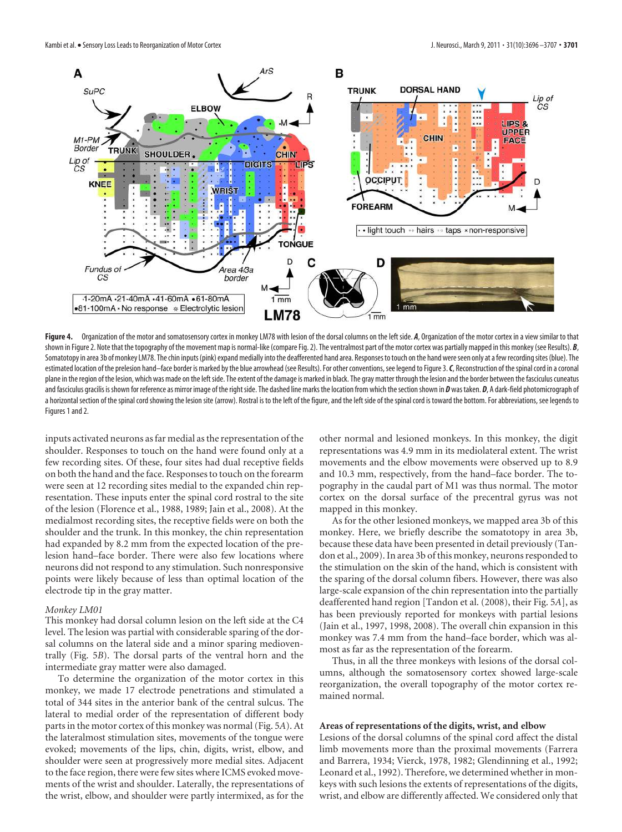

Figure 4. Organization of the motor and somatosensory cortex in monkey LM78 with lesion of the dorsal columns on the left side. *A*, Organization of the motor cortex in a view similar to that shown in Figure 2. Note that the topography of the movement map is normal-like (compare Fig. 2). The ventralmost part of the motor cortex was partially mapped in this monkey (see Results). *B*, Somatotopy in area 3b of monkey LM78. The chin inputs (pink) expand medially into the deafferented hand area. Responses to touch on the hand were seen only at a few recording sites (blue). The estimated location of the prelesion hand–face border is marked by the blue arrowhead (see Results). For other conventions, see legend to Figure 3. C, Reconstruction of the spinal cord in a coronal plane in the region of the lesion, which was made on the left side. The extent of the damage is marked in black. The gray matter through the lesion and the border between the fasciculus cuneatus and fasciculus gracilis is shown for reference as mirror image of the right side. The dashed line marks the location from which the section shown in *D* was taken. *D*, A dark-field photomicrograph of a horizontal section of the spinal cord showing the lesion site (arrow). Rostral is to the left of the figure, and the left side of the spinal cord is toward the bottom. For abbreviations, see legends to Figures 1 and 2.

inputs activated neurons as far medial as the representation of the shoulder. Responses to touch on the hand were found only at a few recording sites. Of these, four sites had dual receptive fields on both the hand and the face. Responses to touch on the forearm were seen at 12 recording sites medial to the expanded chin representation. These inputs enter the spinal cord rostral to the site of the lesion (Florence et al., 1988, 1989; Jain et al., 2008). At the medialmost recording sites, the receptive fields were on both the shoulder and the trunk. In this monkey, the chin representation had expanded by 8.2 mm from the expected location of the prelesion hand–face border. There were also few locations where neurons did not respond to any stimulation. Such nonresponsive points were likely because of less than optimal location of the electrode tip in the gray matter.

#### *Monkey LM01*

This monkey had dorsal column lesion on the left side at the C4 level. The lesion was partial with considerable sparing of the dorsal columns on the lateral side and a minor sparing medioventrally (Fig. 5*B*). The dorsal parts of the ventral horn and the intermediate gray matter were also damaged.

To determine the organization of the motor cortex in this monkey, we made 17 electrode penetrations and stimulated a total of 344 sites in the anterior bank of the central sulcus. The lateral to medial order of the representation of different body parts in the motor cortex of this monkey was normal (Fig. 5*A*). At the lateralmost stimulation sites, movements of the tongue were evoked; movements of the lips, chin, digits, wrist, elbow, and shoulder were seen at progressively more medial sites. Adjacent to the face region, there were few sites where ICMS evoked movements of the wrist and shoulder. Laterally, the representations of the wrist, elbow, and shoulder were partly intermixed, as for the

other normal and lesioned monkeys. In this monkey, the digit representations was 4.9 mm in its mediolateral extent. The wrist movements and the elbow movements were observed up to 8.9 and 10.3 mm, respectively, from the hand–face border. The topography in the caudal part of M1 was thus normal. The motor cortex on the dorsal surface of the precentral gyrus was not mapped in this monkey.

As for the other lesioned monkeys, we mapped area 3b of this monkey. Here, we briefly describe the somatotopy in area 3b, because these data have been presented in detail previously (Tandon et al., 2009). In area 3b of this monkey, neurons responded to the stimulation on the skin of the hand, which is consistent with the sparing of the dorsal column fibers. However, there was also large-scale expansion of the chin representation into the partially deafferented hand region [Tandon et al. (2008), their Fig. 5*A*], as has been previously reported for monkeys with partial lesions (Jain et al., 1997, 1998, 2008). The overall chin expansion in this monkey was 7.4 mm from the hand–face border, which was almost as far as the representation of the forearm.

Thus, in all the three monkeys with lesions of the dorsal columns, although the somatosensory cortex showed large-scale reorganization, the overall topography of the motor cortex remained normal.

#### **Areas of representations of the digits, wrist, and elbow**

Lesions of the dorsal columns of the spinal cord affect the distal limb movements more than the proximal movements (Farrera and Barrera, 1934; Vierck, 1978, 1982; Glendinning et al., 1992; Leonard et al., 1992). Therefore, we determined whether in monkeys with such lesions the extents of representations of the digits, wrist, and elbow are differently affected. We considered only that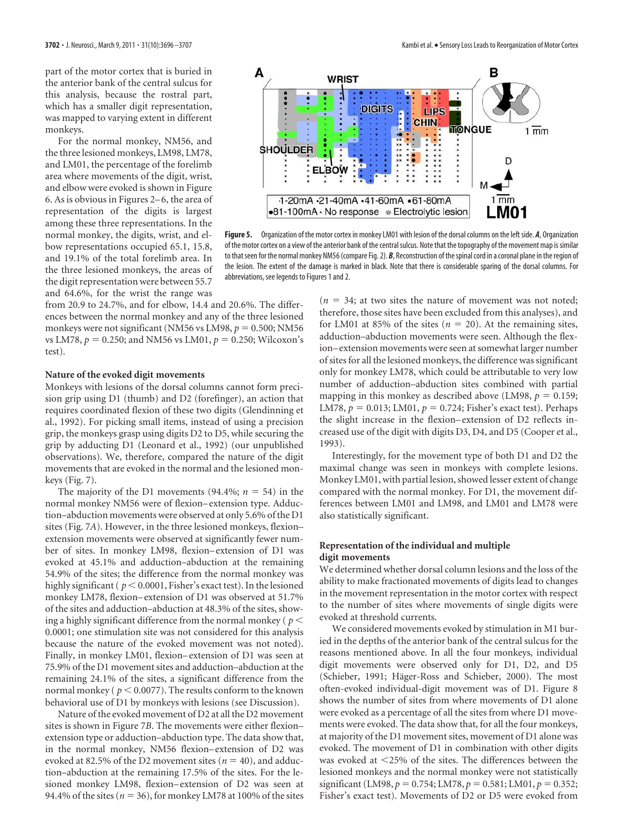part of the motor cortex that is buried in the anterior bank of the central sulcus for this analysis, because the rostral part, which has a smaller digit representation, was mapped to varying extent in different monkeys.

For the normal monkey, NM56, and the three lesioned monkeys, LM98, LM78, and LM01, the percentage of the forelimb area where movements of the digit, wrist, and elbow were evoked is shown in Figure 6. As is obvious in Figures 2– 6, the area of representation of the digits is largest among these three representations. In the normal monkey, the digits, wrist, and elbow representations occupied 65.1, 15.8, and 19.1% of the total forelimb area. In the three lesioned monkeys, the areas of the digit representation were between 55.7 and 64.6%, for the wrist the range was



**Figure 5.** Organization of the motor cortex in monkey LM01 with lesion of the dorsal columns on the left side. *A*, Organization of the motor cortex on a view of the anterior bank of the central sulcus. Note that the topography of the movement map is similar to that seen for the normal monkey NM56 (compare Fig. 2). *B*, Reconstruction of the spinal cord in a coronal plane in the region of the lesion. The extent of the damage is marked in black. Note that there is considerable sparing of the dorsal columns. For abbreviations, see legends to Figures 1 and 2.

from 20.9 to 24.7%, and for elbow, 14.4 and 20.6%. The differences between the normal monkey and any of the three lesioned monkeys were not significant (NM56 vs LM98,  $p = 0.500$ ; NM56 vs LM78,  $p = 0.250$ ; and NM56 vs LM01,  $p = 0.250$ ; Wilcoxon's test).

## **Nature of the evoked digit movements**

Monkeys with lesions of the dorsal columns cannot form precision grip using D1 (thumb) and D2 (forefinger), an action that requires coordinated flexion of these two digits (Glendinning et al., 1992). For picking small items, instead of using a precision grip, the monkeys grasp using digits D2 to D5, while securing the grip by adducting D1 (Leonard et al., 1992) (our unpublished observations). We, therefore, compared the nature of the digit movements that are evoked in the normal and the lesioned monkeys (Fig. 7).

The majority of the D1 movements (94.4%;  $n = 54$ ) in the normal monkey NM56 were of flexion– extension type. Adduction–abduction movements were observed at only 5.6% of the D1 sites (Fig. 7*A*). However, in the three lesioned monkeys, flexion– extension movements were observed at significantly fewer number of sites. In monkey LM98, flexion– extension of D1 was evoked at 45.1% and adduction–abduction at the remaining 54.9% of the sites; the difference from the normal monkey was highly significant ( $p < 0.0001$ , Fisher's exact test). In the lesioned monkey LM78, flexion– extension of D1 was observed at 51.7% of the sites and adduction–abduction at 48.3% of the sites, showing a highly significant difference from the normal monkey ( $p <$ 0.0001; one stimulation site was not considered for this analysis because the nature of the evoked movement was not noted). Finally, in monkey LM01, flexion– extension of D1 was seen at 75.9% of the D1 movement sites and adduction–abduction at the remaining 24.1% of the sites, a significant difference from the normal monkey ( $p < 0.0077$ ). The results conform to the known behavioral use of D1 by monkeys with lesions (see Discussion).

Nature of the evoked movement of D2 at all the D2 movement sites is shown in Figure 7*B*. The movements were either flexion– extension type or adduction–abduction type. The data show that, in the normal monkey, NM56 flexion– extension of D2 was evoked at 82.5% of the D2 movement sites ( $n = 40$ ), and adduction–abduction at the remaining 17.5% of the sites. For the lesioned monkey LM98, flexion– extension of D2 was seen at 94.4% of the sites ( $n = 36$ ), for monkey LM78 at 100% of the sites  $(n = 34;$  at two sites the nature of movement was not noted; therefore, those sites have been excluded from this analyses), and for LM01 at 85% of the sites ( $n = 20$ ). At the remaining sites, adduction–abduction movements were seen. Although the flexion– extension movements were seen at somewhat larger number of sites for all the lesioned monkeys, the difference was significant only for monkey LM78, which could be attributable to very low number of adduction–abduction sites combined with partial mapping in this monkey as described above (LM98,  $p = 0.159$ ; LM78,  $p = 0.013$ ; LM01,  $p = 0.724$ ; Fisher's exact test). Perhaps the slight increase in the flexion– extension of D2 reflects increased use of the digit with digits D3, D4, and D5 (Cooper et al., 1993).

Interestingly, for the movement type of both D1 and D2 the maximal change was seen in monkeys with complete lesions. Monkey LM01, with partial lesion, showed lesser extent of change compared with the normal monkey. For D1, the movement differences between LM01 and LM98, and LM01 and LM78 were also statistically significant.

# **Representation of the individual and multiple digit movements**

We determined whether dorsal column lesions and the loss of the ability to make fractionated movements of digits lead to changes in the movement representation in the motor cortex with respect to the number of sites where movements of single digits were evoked at threshold currents.

We considered movements evoked by stimulation in M1 buried in the depths of the anterior bank of the central sulcus for the reasons mentioned above. In all the four monkeys, individual digit movements were observed only for D1, D2, and D5 (Schieber, 1991; Häger-Ross and Schieber, 2000). The most often-evoked individual-digit movement was of D1. Figure 8 shows the number of sites from where movements of D1 alone were evoked as a percentage of all the sites from where D1 movements were evoked. The data show that, for all the four monkeys, at majority of the D1 movement sites, movement of D1 alone was evoked. The movement of D1 in combination with other digits was evoked at 25% of the sites. The differences between the lesioned monkeys and the normal monkey were not statistically significant (LM98,  $p = 0.754$ ; LM78,  $p = 0.581$ ; LM01,  $p = 0.352$ ; Fisher's exact test). Movements of D2 or D5 were evoked from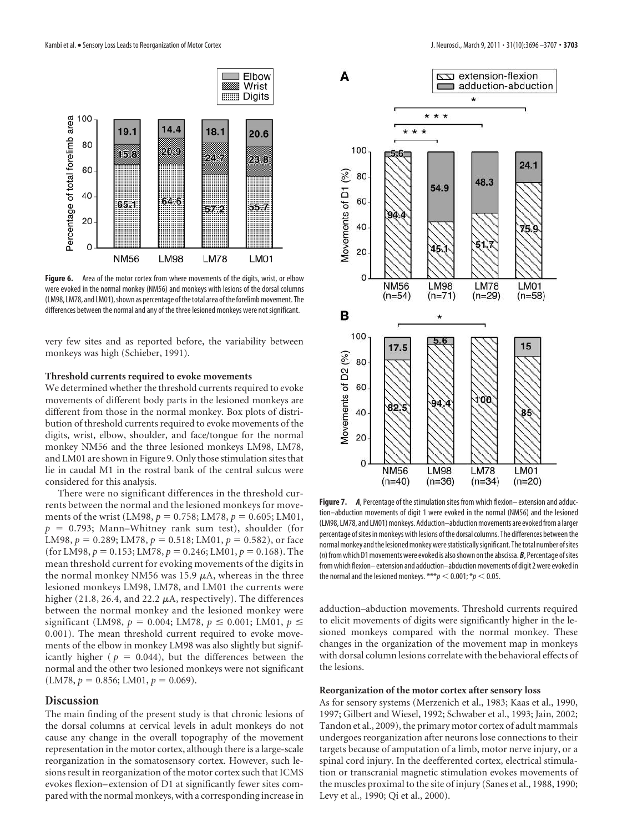

**Figure 6.** Area of the motor cortex from where movements of the digits, wrist, or elbow were evoked in the normal monkey (NM56) and monkeys with lesions of the dorsal columns (LM98, LM78, and LM01), shown as percentage of the total area of the forelimb movement. The differences between the normal and any of the three lesioned monkeys were not significant.

very few sites and as reported before, the variability between monkeys was high (Schieber, 1991).

#### **Threshold currents required to evoke movements**

We determined whether the threshold currents required to evoke movements of different body parts in the lesioned monkeys are different from those in the normal monkey. Box plots of distribution of threshold currents required to evoke movements of the digits, wrist, elbow, shoulder, and face/tongue for the normal monkey NM56 and the three lesioned monkeys LM98, LM78, and LM01 are shown in Figure 9. Only those stimulation sites that lie in caudal M1 in the rostral bank of the central sulcus were considered for this analysis.

There were no significant differences in the threshold currents between the normal and the lesioned monkeys for movements of the wrist (LM98,  $p = 0.758$ ; LM78,  $p = 0.605$ ; LM01,  $p = 0.793$ ; Mann–Whitney rank sum test), shoulder (for LM98,  $p = 0.289$ ; LM78,  $p = 0.518$ ; LM01,  $p = 0.582$ ), or face (for LM98,  $p = 0.153$ ; LM78,  $p = 0.246$ ; LM01,  $p = 0.168$ ). The mean threshold current for evoking movements of the digits in the normal monkey NM56 was 15.9  $\mu$ A, whereas in the three lesioned monkeys LM98, LM78, and LM01 the currents were higher (21.8, 26.4, and 22.2  $\mu$ A, respectively). The differences between the normal monkey and the lesioned monkey were significant (LM98,  $p = 0.004$ ; LM78,  $p \le 0.001$ ; LM01,  $p \le$ 0.001). The mean threshold current required to evoke movements of the elbow in monkey LM98 was also slightly but significantly higher ( $p = 0.044$ ), but the differences between the normal and the other two lesioned monkeys were not significant  $(LM78, p = 0.856; LM01, p = 0.069).$ 

## **Discussion**

The main finding of the present study is that chronic lesions of the dorsal columns at cervical levels in adult monkeys do not cause any change in the overall topography of the movement representation in the motor cortex, although there is a large-scale reorganization in the somatosensory cortex. However, such lesions result in reorganization of the motor cortex such that ICMS evokes flexion– extension of D1 at significantly fewer sites compared with the normal monkeys, with a corresponding increase in



**Figure 7.** *A*, Percentage of the stimulation sites from which flexion– extension and adduction–abduction movements of digit 1 were evoked in the normal (NM56) and the lesioned (LM98, LM78, and LM01) monkeys. Adduction–abduction movements are evoked from a larger percentage of sites in monkeys with lesions of the dorsal columns. The differences between the normal monkey and the lesioned monkey were statistically significant. The total number of sites (n) from which D1 movements were evoked is also shown on the abscissa.*B*, Percentage of sites from which flexion– extension and adduction–abduction movements of digit 2 were evoked in the normal and the lesioned monkeys. \*\*\* $p < 0.001$ ; \* $p < 0.05$ .

adduction–abduction movements. Threshold currents required to elicit movements of digits were significantly higher in the lesioned monkeys compared with the normal monkey. These changes in the organization of the movement map in monkeys with dorsal column lesions correlate with the behavioral effects of the lesions.

#### **Reorganization of the motor cortex after sensory loss**

As for sensory systems (Merzenich et al., 1983; Kaas et al., 1990, 1997; Gilbert and Wiesel, 1992; Schwaber et al., 1993; Jain, 2002; Tandon et al., 2009), the primary motor cortex of adult mammals undergoes reorganization after neurons lose connections to their targets because of amputation of a limb, motor nerve injury, or a spinal cord injury. In the deefferented cortex, electrical stimulation or transcranial magnetic stimulation evokes movements of the muscles proximal to the site of injury (Sanes et al., 1988, 1990; Levy et al., 1990; Qi et al., 2000).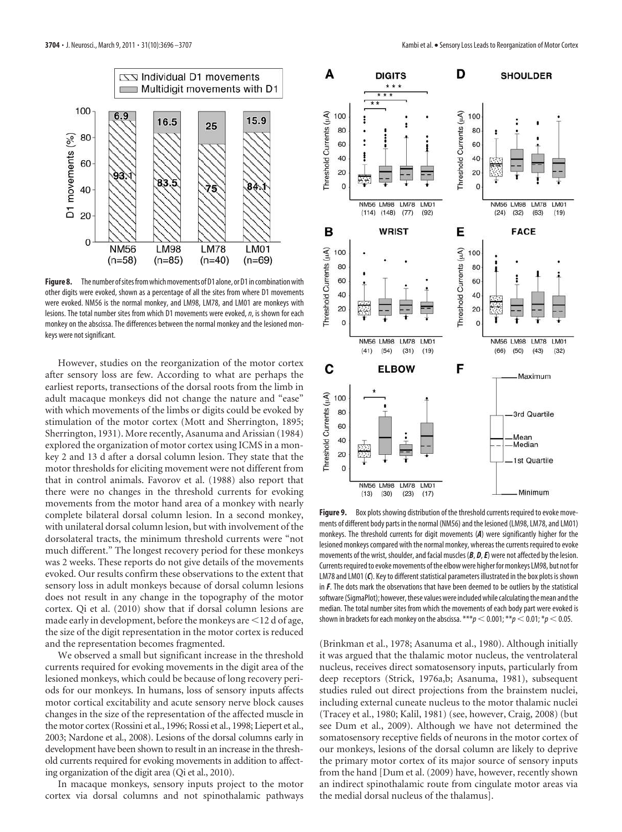

**Figure 8.** The number of sites from which movements of D1 alone, or D1 in combination with other digits were evoked, shown as a percentage of all the sites from where D1 movements were evoked. NM56 is the normal monkey, and LM98, LM78, and LM01 are monkeys with lesions. The total number sites from which D1 movements were evoked,  $n$ , is shown for each monkey on the abscissa. The differences between the normal monkey and the lesioned monkeys were not significant.

However, studies on the reorganization of the motor cortex after sensory loss are few. According to what are perhaps the earliest reports, transections of the dorsal roots from the limb in adult macaque monkeys did not change the nature and "ease" with which movements of the limbs or digits could be evoked by stimulation of the motor cortex (Mott and Sherrington, 1895; Sherrington, 1931). More recently, Asanuma and Arissian (1984) explored the organization of motor cortex using ICMS in a monkey 2 and 13 d after a dorsal column lesion. They state that the motor thresholds for eliciting movement were not different from that in control animals. Favorov et al. (1988) also report that there were no changes in the threshold currents for evoking movements from the motor hand area of a monkey with nearly complete bilateral dorsal column lesion. In a second monkey, with unilateral dorsal column lesion, but with involvement of the dorsolateral tracts, the minimum threshold currents were "not much different." The longest recovery period for these monkeys was 2 weeks. These reports do not give details of the movements evoked. Our results confirm these observations to the extent that sensory loss in adult monkeys because of dorsal column lesions does not result in any change in the topography of the motor cortex. Qi et al. (2010) show that if dorsal column lesions are made early in development, before the monkeys are  $\leq 12$  d of age, the size of the digit representation in the motor cortex is reduced and the representation becomes fragmented.

We observed a small but significant increase in the threshold currents required for evoking movements in the digit area of the lesioned monkeys, which could be because of long recovery periods for our monkeys. In humans, loss of sensory inputs affects motor cortical excitability and acute sensory nerve block causes changes in the size of the representation of the affected muscle in the motor cortex (Rossini et al., 1996; Rossi et al., 1998; Liepert et al., 2003; Nardone et al., 2008). Lesions of the dorsal columns early in development have been shown to result in an increase in the threshold currents required for evoking movements in addition to affecting organization of the digit area (Qi et al., 2010).

In macaque monkeys, sensory inputs project to the motor cortex via dorsal columns and not spinothalamic pathways



Figure 9. Box plots showing distribution of the threshold currents required to evoke movements of different body parts in the normal (NM56) and the lesioned (LM98, LM78, and LM01) monkeys. The threshold currents for digit movements (*A*) were significantly higher for the lesioned monkeys compared with the normal monkey, whereas the currents required to evoke movements of the wrist, shoulder, and facial muscles (*B*, *D*,*E*) were not affected by the lesion. Currents required to evoke movements of the elbow were higher for monkeys LM98, but not for LM78 and LM01 (*C*). Key to different statistical parameters illustrated in the box plots is shown in *F*. The dots mark the observations that have been deemed to be outliers by the statistical software (SigmaPlot); however, these values were included while calculating the mean and the median. The total number sites from which the movements of each body part were evoked is shown in brackets for each monkey on the abscissa.  $***p$   $<$  0.001;  $**p$   $<$  0.01;  $*p$   $<$  0.05.

(Brinkman et al., 1978; Asanuma et al., 1980). Although initially it was argued that the thalamic motor nucleus, the ventrolateral nucleus, receives direct somatosensory inputs, particularly from deep receptors (Strick, 1976a,b; Asanuma, 1981), subsequent studies ruled out direct projections from the brainstem nuclei, including external cuneate nucleus to the motor thalamic nuclei (Tracey et al., 1980; Kalil, 1981) (see, however, Craig, 2008) (but see Dum et al., 2009). Although we have not determined the somatosensory receptive fields of neurons in the motor cortex of our monkeys, lesions of the dorsal column are likely to deprive the primary motor cortex of its major source of sensory inputs from the hand [Dum et al. (2009) have, however, recently shown an indirect spinothalamic route from cingulate motor areas via the medial dorsal nucleus of the thalamus].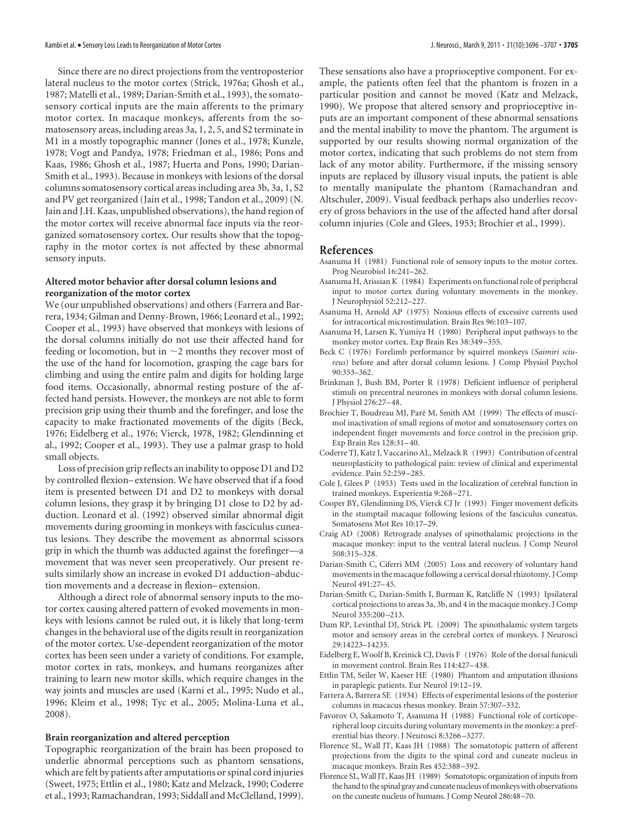Since there are no direct projections from the ventroposterior lateral nucleus to the motor cortex (Strick, 1976a; Ghosh et al., 1987; Matelli et al., 1989; Darian-Smith et al., 1993), the somatosensory cortical inputs are the main afferents to the primary motor cortex. In macaque monkeys, afferents from the somatosensory areas, including areas 3a, 1, 2, 5, and S2 terminate in M1 in a mostly topographic manner (Jones et al., 1978; Kunzle, 1978; Vogt and Pandya, 1978; Friedman et al., 1986; Pons and Kaas, 1986; Ghosh et al., 1987; Huerta and Pons, 1990; Darian-Smith et al., 1993). Because in monkeys with lesions of the dorsal columns somatosensory cortical areas including area 3b, 3a, 1, S2 and PV get reorganized (Jain et al., 1998; Tandon et al., 2009) (N. Jain and J.H. Kaas, unpublished observations), the hand region of the motor cortex will receive abnormal face inputs via the reorganized somatosensory cortex. Our results show that the topography in the motor cortex is not affected by these abnormal sensory inputs.

# **Altered motor behavior after dorsal column lesions and reorganization of the motor cortex**

We (our unpublished observations) and others (Farrera and Barrera, 1934; Gilman and Denny-Brown, 1966; Leonard et al., 1992; Cooper et al., 1993) have observed that monkeys with lesions of the dorsal columns initially do not use their affected hand for feeding or locomotion, but in  $\sim$ 2 months they recover most of the use of the hand for locomotion, grasping the cage bars for climbing and using the entire palm and digits for holding large food items. Occasionally, abnormal resting posture of the affected hand persists. However, the monkeys are not able to form precision grip using their thumb and the forefinger, and lose the capacity to make fractionated movements of the digits (Beck, 1976; Eidelberg et al., 1976; Vierck, 1978, 1982; Glendinning et al., 1992; Cooper et al., 1993). They use a palmar grasp to hold small objects.

Loss of precision grip reflects an inability to oppose D1 and D2 by controlled flexion– extension. We have observed that if a food item is presented between D1 and D2 to monkeys with dorsal column lesions, they grasp it by bringing D1 close to D2 by adduction. Leonard et al. (1992) observed similar abnormal digit movements during grooming in monkeys with fasciculus cuneatus lesions. They describe the movement as abnormal scissors grip in which the thumb was adducted against the forefinger—a movement that was never seen preoperatively. Our present results similarly show an increase in evoked D1 adduction–abduction movements and a decrease in flexion– extension.

Although a direct role of abnormal sensory inputs to the motor cortex causing altered pattern of evoked movements in monkeys with lesions cannot be ruled out, it is likely that long-term changes in the behavioral use of the digits result in reorganization of the motor cortex. Use-dependent reorganization of the motor cortex has been seen under a variety of conditions. For example, motor cortex in rats, monkeys, and humans reorganizes after training to learn new motor skills, which require changes in the way joints and muscles are used (Karni et al., 1995; Nudo et al., 1996; Kleim et al., 1998; Tyc et al., 2005; Molina-Luna et al., 2008).

## **Brain reorganization and altered perception**

Topographic reorganization of the brain has been proposed to underlie abnormal perceptions such as phantom sensations, which are felt by patients after amputations or spinal cord injuries (Sweet, 1975; Ettlin et al., 1980; Katz and Melzack, 1990; Coderre et al., 1993; Ramachandran, 1993; Siddall and McClelland, 1999). These sensations also have a proprioceptive component. For example, the patients often feel that the phantom is frozen in a particular position and cannot be moved (Katz and Melzack, 1990). We propose that altered sensory and proprioceptive inputs are an important component of these abnormal sensations and the mental inability to move the phantom. The argument is supported by our results showing normal organization of the motor cortex, indicating that such problems do not stem from lack of any motor ability. Furthermore, if the missing sensory inputs are replaced by illusory visual inputs, the patient is able to mentally manipulate the phantom (Ramachandran and Altschuler, 2009). Visual feedback perhaps also underlies recovery of gross behaviors in the use of the affected hand after dorsal column injuries (Cole and Glees, 1953; Brochier et al., 1999).

## **References**

- Asanuma H (1981) Functional role of sensory inputs to the motor cortex. Prog Neurobiol 16:241–262.
- Asanuma H, Arissian K (1984) Experiments on functional role of peripheral input to motor cortex during voluntary movements in the monkey. J Neurophysiol 52:212–227.
- Asanuma H, Arnold AP (1975) Noxious effects of excessive currents used for intracortical microstimulation. Brain Res 96:103–107.
- Asanuma H, Larsen K, Yumiya H (1980) Peripheral input pathways to the monkey motor cortex. Exp Brain Res 38:349 –355.
- Beck C (1976) Forelimb performance by squirrel monkeys (*Saimiri sciureus*) before and after dorsal column lesions. J Comp Physiol Psychol 90:353–362.
- Brinkman J, Bush BM, Porter R (1978) Deficient influence of peripheral stimuli on precentral neurones in monkeys with dorsal column lesions. J Physiol 276:27– 48.
- Brochier T, Boudreau MJ, Paré M, Smith AM (1999) The effects of muscimol inactivation of small regions of motor and somatosensory cortex on independent finger movements and force control in the precision grip. Exp Brain Res 128:31– 40.
- Coderre TJ, Katz J, Vaccarino AL, Melzack R (1993) Contribution of central neuroplasticity to pathological pain: review of clinical and experimental evidence. Pain 52:259 –285.
- Cole J, Glees P (1953) Tests used in the localization of cerebral function in trained monkeys. Experientia 9:268 –271.
- Cooper BY, Glendinning DS, Vierck CJ Jr (1993) Finger movement deficits in the stumptail macaque following lesions of the fasciculus cuneatus. Somatosens Mot Res 10:17–29.
- Craig AD (2008) Retrograde analyses of spinothalamic projections in the macaque monkey: input to the ventral lateral nucleus. J Comp Neurol 508:315–328.
- Darian-Smith C, Ciferri MM (2005) Loss and recovery of voluntary hand movements in the macaque following a cervical dorsal rhizotomy. J Comp Neurol 491:27– 45.
- Darian-Smith C, Darian-Smith I, Burman K, Ratcliffe N (1993) Ipsilateral cortical projections to areas 3a, 3b, and 4 in the macaque monkey. J Comp Neurol 335:200 –213.
- Dum RP, Levinthal DJ, Strick PL (2009) The spinothalamic system targets motor and sensory areas in the cerebral cortex of monkeys. J Neurosci 29:14223–14235.
- Eidelberg E, Woolf B, Kreinick CJ, Davis F (1976) Role of the dorsal funiculi in movement control. Brain Res 114:427– 438.
- Ettlin TM, Seiler W, Kaeser HE (1980) Phantom and amputation illusions in paraplegic patients. Eur Neurol 19:12–19.
- Farrera A, Barrera SE (1934) Effects of experimental lesions of the posterior columns in macacus rhesus monkey. Brain 57:307–332.
- Favorov O, Sakamoto T, Asanuma H (1988) Functional role of corticoperipheral loop circuits during voluntary movements in the monkey: a preferential bias theory. J Neurosci 8:3266 –3277.
- Florence SL, Wall JT, Kaas JH (1988) The somatotopic pattern of afferent projections from the digits to the spinal cord and cuneate nucleus in macaque monkeys. Brain Res 452:388 –392.
- Florence SL, Wall JT, Kaas JH (1989) Somatotopic organization of inputs from the hand to the spinal gray and cuneate nucleus of monkeys with observations on the cuneate nucleus of humans. J Comp Neurol 286:48–70.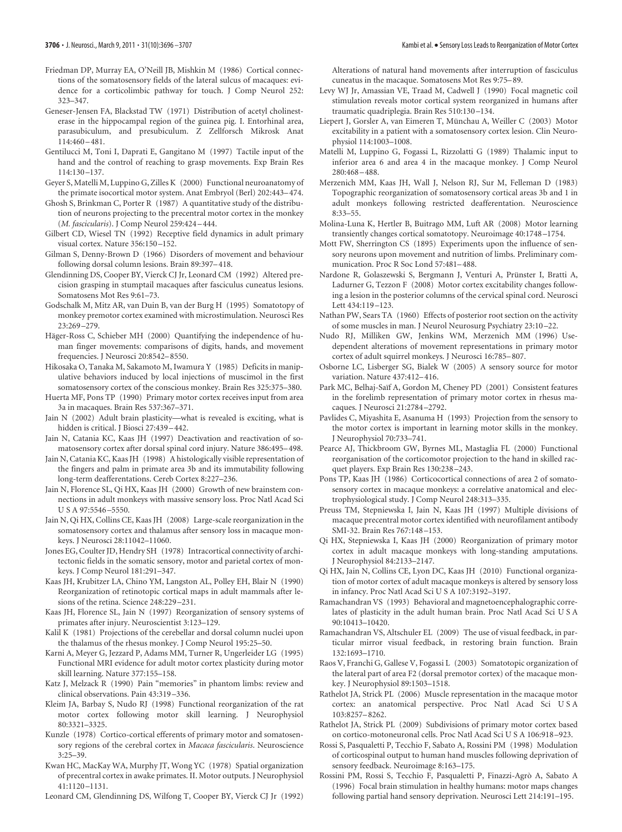- Friedman DP, Murray EA, O'Neill JB, Mishkin M (1986) Cortical connections of the somatosensory fields of the lateral sulcus of macaques: evidence for a corticolimbic pathway for touch. J Comp Neurol 252: 323–347.
- Geneser-Jensen FA, Blackstad TW (1971) Distribution of acetyl cholinesterase in the hippocampal region of the guinea pig. I. Entorhinal area, parasubiculum, and presubiculum. Z Zellforsch Mikrosk Anat 114:460 – 481.
- Gentilucci M, Toni I, Daprati E, Gangitano M (1997) Tactile input of the hand and the control of reaching to grasp movements. Exp Brain Res 114:130 –137.
- Geyer S, Matelli M, Luppino G, Zilles K (2000) Functional neuroanatomy of the primate isocortical motor system. Anat Embryol (Berl) 202:443– 474.
- Ghosh S, Brinkman C, Porter R (1987) A quantitative study of the distribution of neurons projecting to the precentral motor cortex in the monkey (*M. fascicularis*). J Comp Neurol 259:424 – 444.
- Gilbert CD, Wiesel TN (1992) Receptive field dynamics in adult primary visual cortex. Nature 356:150 –152.
- Gilman S, Denny-Brown D (1966) Disorders of movement and behaviour following dorsal column lesions. Brain 89:397– 418.
- Glendinning DS, Cooper BY, Vierck CJ Jr, Leonard CM (1992) Altered precision grasping in stumptail macaques after fasciculus cuneatus lesions. Somatosens Mot Res 9:61–73.
- Godschalk M, Mitz AR, van Duin B, van der Burg H (1995) Somatotopy of monkey premotor cortex examined with microstimulation. Neurosci Res 23:269 –279.
- Häger-Ross C, Schieber MH (2000) Quantifying the independence of human finger movements: comparisons of digits, hands, and movement frequencies. J Neurosci 20:8542– 8550.
- Hikosaka O, Tanaka M, Sakamoto M, Iwamura Y (1985) Deficits in manipulative behaviors induced by local injections of muscimol in the first somatosensory cortex of the conscious monkey. Brain Res 325:375–380.
- Huerta MF, Pons TP (1990) Primary motor cortex receives input from area 3a in macaques. Brain Res 537:367–371.
- Jain N (2002) Adult brain plasticity—what is revealed is exciting, what is hidden is critical. J Biosci 27:439 – 442.
- Jain N, Catania KC, Kaas JH (1997) Deactivation and reactivation of somatosensory cortex after dorsal spinal cord injury. Nature 386:495– 498.
- Jain N, Catania KC, Kaas JH (1998) A histologically visible representation of the fingers and palm in primate area 3b and its immutability following long-term deafferentations. Cereb Cortex 8:227–236.
- Jain N, Florence SL, Qi HX, Kaas JH (2000) Growth of new brainstem connections in adult monkeys with massive sensory loss. Proc Natl Acad Sci U S A 97:5546 –5550.
- Jain N, Qi HX, Collins CE, Kaas JH (2008) Large-scale reorganization in the somatosensory cortex and thalamus after sensory loss in macaque monkeys. J Neurosci 28:11042–11060.
- Jones EG, Coulter JD, Hendry SH (1978) Intracortical connectivity of architectonic fields in the somatic sensory, motor and parietal cortex of monkeys. J Comp Neurol 181:291–347.
- Kaas JH, Krubitzer LA, Chino YM, Langston AL, Polley EH, Blair N (1990) Reorganization of retinotopic cortical maps in adult mammals after lesions of the retina. Science 248:229 –231.
- Kaas JH, Florence SL, Jain N (1997) Reorganization of sensory systems of primates after injury. Neuroscientist 3:123–129.
- Kalil K (1981) Projections of the cerebellar and dorsal column nuclei upon the thalamus of the rhesus monkey. J Comp Neurol 195:25–50.
- Karni A, Meyer G, Jezzard P, Adams MM, Turner R, Ungerleider LG (1995) Functional MRI evidence for adult motor cortex plasticity during motor skill learning. Nature 377:155–158.
- Katz J, Melzack R (1990) Pain "memories" in phantom limbs: review and clinical observations. Pain 43:319 –336.
- Kleim JA, Barbay S, Nudo RJ (1998) Functional reorganization of the rat motor cortex following motor skill learning. J Neurophysiol 80:3321–3325.
- Kunzle (1978) Cortico-cortical efferents of primary motor and somatosensory regions of the cerebral cortex in *Macaca fascicularis*. Neuroscience  $3.25 - 39$
- Kwan HC, MacKay WA, Murphy JT, Wong YC (1978) Spatial organization of precentral cortex in awake primates. II. Motor outputs. J Neurophysiol 41:1120 –1131.
- Leonard CM, Glendinning DS, Wilfong T, Cooper BY, Vierck CJ Jr (1992)

Alterations of natural hand movements after interruption of fasciculus cuneatus in the macaque. Somatosens Mot Res 9:75– 89.

- Levy WJ Jr, Amassian VE, Traad M, Cadwell J (1990) Focal magnetic coil stimulation reveals motor cortical system reorganized in humans after traumatic quadriplegia. Brain Res 510:130 –134.
- Liepert J, Gorsler A, van Eimeren T, Münchau A, Weiller C (2003) Motor excitability in a patient with a somatosensory cortex lesion. Clin Neurophysiol 114:1003–1008.
- Matelli M, Luppino G, Fogassi L, Rizzolatti G (1989) Thalamic input to inferior area 6 and area 4 in the macaque monkey. J Comp Neurol 280:468 – 488.
- Merzenich MM, Kaas JH, Wall J, Nelson RJ, Sur M, Felleman D (1983) Topographic reorganization of somatosensory cortical areas 3b and 1 in adult monkeys following restricted deafferentation. Neuroscience 8:33–55.
- Molina-Luna K, Hertler B, Buitrago MM, Luft AR (2008) Motor learning transiently changes cortical somatotopy. Neuroimage 40:1748 –1754.
- Mott FW, Sherrington CS (1895) Experiments upon the influence of sensory neurons upon movement and nutrition of limbs. Preliminary communication. Proc R Soc Lond 57:481– 488.
- Nardone R, Golaszewski S, Bergmann J, Venturi A, Prünster I, Bratti A, Ladurner G, Tezzon F (2008) Motor cortex excitability changes following a lesion in the posterior columns of the cervical spinal cord. Neurosci Lett 434:119 –123.
- Nathan PW, Sears TA (1960) Effects of posterior root section on the activity of some muscles in man. J Neurol Neurosurg Psychiatry 23:10 –22.
- Nudo RJ, Milliken GW, Jenkins WM, Merzenich MM (1996) Usedependent alterations of movement representations in primary motor cortex of adult squirrel monkeys. J Neurosci 16:785– 807.
- Osborne LC, Lisberger SG, Bialek W (2005) A sensory source for motor variation. Nature 437:412– 416.
- Park MC, Belhaj-Saïf A, Gordon M, Cheney PD (2001) Consistent features in the forelimb representation of primary motor cortex in rhesus macaques. J Neurosci 21:2784 –2792.
- Pavlides C, Miyashita E, Asanuma H (1993) Projection from the sensory to the motor cortex is important in learning motor skills in the monkey. J Neurophysiol 70:733–741.
- Pearce AJ, Thickbroom GW, Byrnes ML, Mastaglia FL (2000) Functional reorganisation of the corticomotor projection to the hand in skilled racquet players. Exp Brain Res 130:238 –243.
- Pons TP, Kaas JH (1986) Corticocortical connections of area 2 of somatosensory cortex in macaque monkeys: a correlative anatomical and electrophysiological study. J Comp Neurol 248:313–335.
- Preuss TM, Stepniewska I, Jain N, Kaas JH (1997) Multiple divisions of macaque precentral motor cortex identified with neurofilament antibody SMI-32. Brain Res 767:148 –153.
- Qi HX, Stepniewska I, Kaas JH (2000) Reorganization of primary motor cortex in adult macaque monkeys with long-standing amputations. J Neurophysiol 84:2133–2147.
- Qi HX, Jain N, Collins CE, Lyon DC, Kaas JH (2010) Functional organization of motor cortex of adult macaque monkeys is altered by sensory loss in infancy. Proc Natl Acad Sci U S A 107:3192–3197.
- Ramachandran VS (1993) Behavioral and magnetoencephalographic correlates of plasticity in the adult human brain. Proc Natl Acad Sci U S A 90:10413–10420.
- Ramachandran VS, Altschuler EL (2009) The use of visual feedback, in particular mirror visual feedback, in restoring brain function. Brain 132:1693–1710.
- Raos V, Franchi G, Gallese V, Fogassi L (2003) Somatotopic organization of the lateral part of area F2 (dorsal premotor cortex) of the macaque monkey. J Neurophysiol 89:1503–1518.
- Rathelot JA, Strick PL (2006) Muscle representation in the macaque motor cortex: an anatomical perspective. Proc Natl Acad Sci U S A 103:8257– 8262.
- Rathelot JA, Strick PL (2009) Subdivisions of primary motor cortex based on cortico-motoneuronal cells. Proc Natl Acad Sci U S A 106:918 –923.
- Rossi S, Pasqualetti P, Tecchio F, Sabato A, Rossini PM (1998) Modulation of corticospinal output to human hand muscles following deprivation of sensory feedback. Neuroimage 8:163–175.
- Rossini PM, Rossi S, Tecchio F, Pasqualetti P, Finazzi-Agro` A, Sabato A (1996) Focal brain stimulation in healthy humans: motor maps changes following partial hand sensory deprivation. Neurosci Lett 214:191–195.